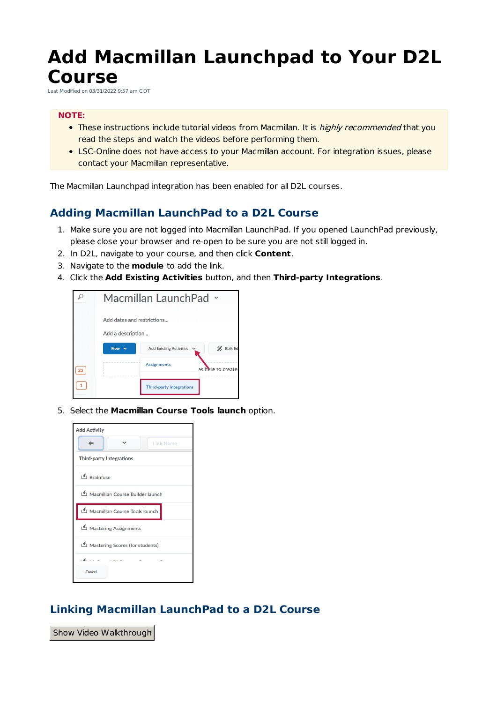# **Add Macmillan Launchpad to Your D2L Course**

Last Modified on 03/31/2022 9:57 am CDT

#### **NOTE:**

- These instructions include tutorial videos from Macmillan. It is *highly recommended* that you read the steps and watch the videos before performing them.
- LSC-Online does not have access to your Macmillan account. For integration issues, please contact your Macmillan representative.

The Macmillan Launchpad integration has been enabled for all D2L courses.

#### **Adding Macmillan LaunchPad to a D2L Course**

- 1. Make sure you are not logged into Macmillan LaunchPad. If you opened LaunchPad previously, please close your browser and re-open to be sure you are not still logged in.
- 2. In D2L, navigate to your course, and then click **Content**.
- 3. Navigate to the **module** to add the link.
- 4. Click the **Add Existing Activities** button, and then **Third-party Integrations**.



5. Select the **Macmillan Course Tools launch** option.



#### **Linking Macmillan LaunchPad to a D2L Course**

Show Video Walkthrough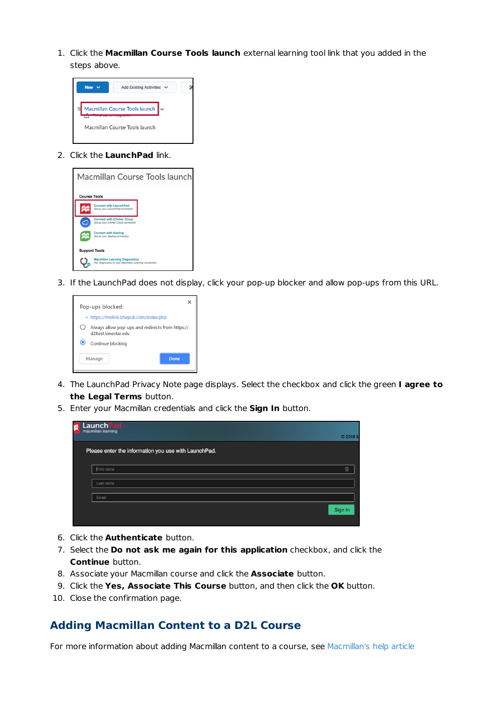1. Click the **Macmillan Course Tools launch** external learning tool link that you added in the steps above.



2. Click the **LaunchPad** link.



3. If the LaunchPad does not display, click your pop-up blocker and allow pop-ups from this URL.



- 4. The LaunchPad Privacy Note page displays. Select the checkbox and click the green **I agree to the Legal Terms** button.
- 5. Enter your Macmillan credentials and click the **Sign In** button.

| <b>LaunchPad</b><br>macmillan learning               | © 2018  |
|------------------------------------------------------|---------|
| Please enter the information you use with LaunchPad. |         |
| First name                                           | 圓       |
| Last name                                            |         |
| Email                                                |         |
|                                                      | Sign In |
|                                                      |         |

- 6. Click the **Authenticate** button.
- 7. Select the **Do not ask me again for this application** checkbox, and click the **Continue** button.
- 8. Associate your Macmillan course and click the **Associate** button.
- 9. Click the **Yes, Associate This Course** button, and then click the **OK** button.
- 10. Close the confirmation page.

#### **Adding Macmillan Content to a D2L Course**

For more information about adding Macmillan content to a course, see Macmillan's help article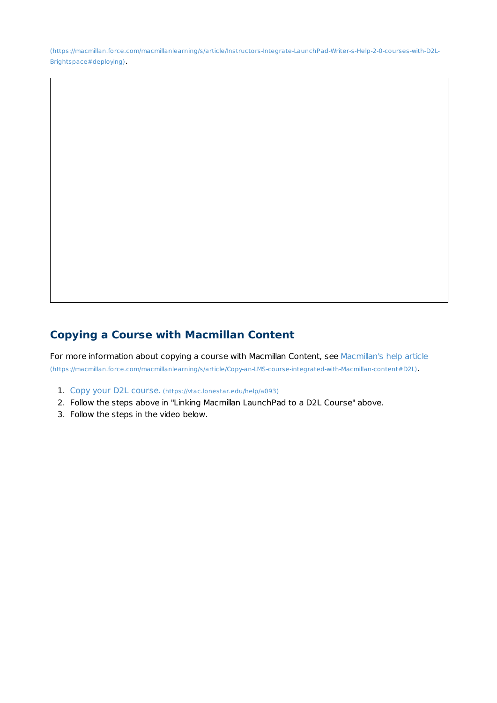(https://macmillan.force.com/macmillanlearning/s/article/Instructors-Integrate-LaunchPad-Writer-s-Help-2-0-courses-with-D2L-Brightspace#deploying).

## **Copying a Course with Macmillan Content**

For more information about copying a course with Macmillan Content, see Macmillan's help article (https://macmillan.force.com/macmillanlearning/s/article/Copy-an-LMS-course-integrated-with-Macmillan-content#D2L).

- 1. Copy your D2L course. (https://vtac.lonestar.edu/help/a093)
- 2. Follow the steps above in "Linking Macmillan LaunchPad to a D2L Course" above.
- 3. Follow the steps in the video below.